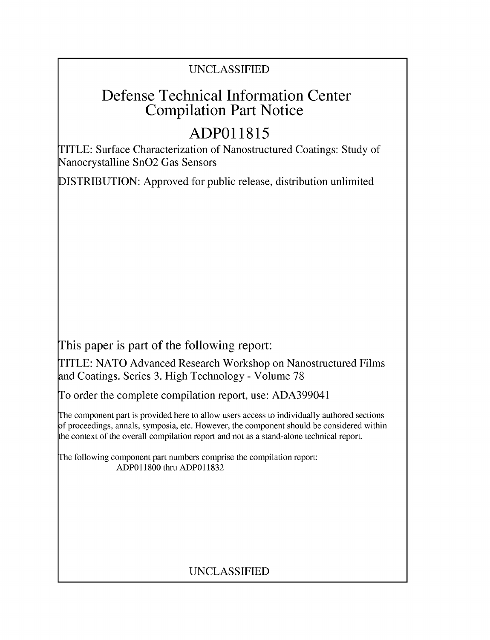### UNCLASSIFIED

## Defense Technical Information Center Compilation Part Notice

# **ADPO 11815**

TITLE: Surface Characterization of Nanostructured Coatings: Study of Nanocrystalline Sn02 Gas Sensors

DISTRIBUTION: Approved for public release, distribution unlimited

This paper is part of the following report:

TITLE: NATO Advanced Research Workshop on Nanostructured Films and Coatings. Series 3. High Technology - Volume 78

To order the complete compilation report, use: ADA399041

The component part is provided here to allow users access to individually authored sections f proceedings, annals, symposia, etc. However, the component should be considered within [he context of the overall compilation report and not as a stand-alone technical report.

The following component part numbers comprise the compilation report: ADPO11800 thru ADP011832

## UNCLASSIFIED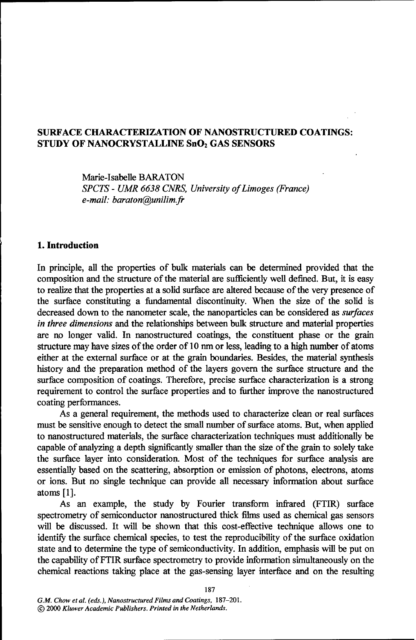#### **SURFACE** CHARACTERIZATION OF **NANOSTRUCTURED COATINGS: STUDY** OF **NANOCRYSTALLINE** Sn0 <sup>2</sup>**GAS SENSORS**

Marie-Isabelle BARATON *SPCTS* - *UMR 6638 CNRS, University of Limoges (France) e-mail: baraton@unilim.fr*

#### **1.** Introduction

In principle, all the properties of bulk materials can be determined provided that the composition and the structure of the material are sufficiently well defined. But, it is easy to realize that the properties at a solid surface are altered because of the very presence of the surface constituting a fundamental discontinuity. When the size of the solid is decreased down to the nanometer scale, the nanoparticles can be considered as *surfaces in three dimensions* and the relationships between bulk structure and material properties are no longer valid. In nanostructured coatings, the constituent phase or the grain structure may have sizes of the order of 10 nm or less, leading to a high number of atoms either at the external surface or at the grain boundaries. Besides, the material synthesis history and the preparation method of the layers govern the surface structure and the surface composition of coatings. Therefore, precise surface characterization is a strong requirement to control the surface properties and to further improve the nanostructured coating performances.

As a general requirement, the methods used to characterize clean or real surfaces must be sensitive enough to detect the small number of surface atoms. But, when applied to nanostructured materials, the surface characterization techniques must additionally be capable of analyzing a depth significantly smaller than the size of the grain to solely take the surface layer into consideration. Most of the techniques for surface analysis are essentially based on the scattering, absorption or emission of photons, electrons, atoms or ions. But no single technique can provide all necessary information about surface atoms [1].

As an example, the study by Fourier transform infrared (FTIR) surface spectrometry of semiconductor nanostructured thick films used as chemical gas sensors will be discussed. It will be shown that this cost-effective technique allows one to identify the surface chemical species, to test the reproducibility of the surface oxidation state and to determine the type of semiconductivity. In addition, emphasis will be put on the capability of FTIR surface spectrometry to provide information simultaneously on the chemical reactions taking place at the gas-sensing layer interface and on the resulting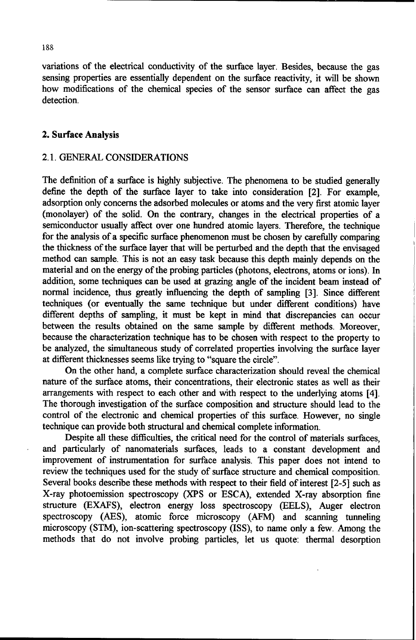variations of the electrical conductivity of the surface layer. Besides, because the gas sensing properties are essentially dependent on the surface reactivity, it will be shown how modifications of the chemical species of the sensor surface can affect the gas detection.

#### 2. Surface Analysis

#### 2.1. GENERAL CONSIDERATIONS

The definition of a surface is highly subjective. The phenomena to be studied generally define the depth of the surface layer to take into consideration [2]. For example, adsorption only concerns the adsorbed molecules or atoms and the very first atomic layer (monolayer) of the solid. On the contrary, changes in the electrical properties of a semiconductor usually affect over one hundred atomic layers. Therefore, the technique for the analysis of a specific surface phenomenon must be chosen by carefully comparing the thickness of the surface layer that will be perturbed and the depth that the envisaged method can sample. This is not an easy task because this depth mainly depends on the material and on the energy of the probing particles (photons, electrons, atoms or ions). In addition, some techniques can be used at grazing angle of the incident beam instead of normal incidence, thus greatly influencing the depth of sampling [3]. Since different techniques (or eventually the same technique but under different conditions) have different depths of sampling, it must be kept in mind that discrepancies can occur between the results obtained on the same sample by different methods. Moreover, because the characterization technique has to be chosen with respect to the property to be analyzed, the simultaneous study of correlated properties involving the surface layer at different thicknesses seems like trying to "square the circle".

On the other hand, a complete surface characterization should reveal the chemical nature of the surface atoms, their concentrations, their electronic states as well as their arrangements with respect to each other and with respect to the underlying atoms [4]. The thorough investigation of the surface composition and structure should lead to the control of the electronic and chemical properties of this surface. However, no single technique can provide both structural and chemical complete information.

Despite all these difficulties, the critical need for the control of materials surfaces, and particularly of nanomaterials surfaces, leads to a constant development and improvement of instrumentation for surface analysis. This paper does not intend to review the techniques used for the study of surface structure and chemical composition. Several books describe these methods with respect to their field of interest [2-5] such as X-ray photoemission spectroscopy (XPS or ESCA), extended X-ray absorption fine structure (EXAFS), electron energy loss spectroscopy (EELS), Auger electron spectroscopy (AES), atomic force microscopy (AFM) and scanning tunneling microscopy (STM), ion-scattering spectroscopy (ISS), to name only a few. Among the methods that do not involve probing particles, let us quote: thermal desorption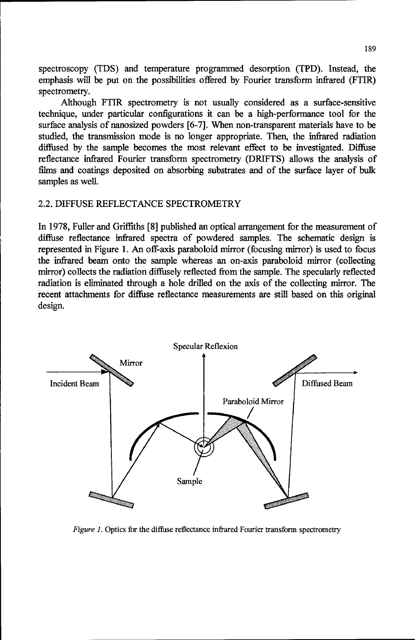spectroscopy (TDS) and temperature programmed desorption (TPD). Instead, the emphasis will be put on the possibilities offered by Fourier transform infrared (FTIR) spectrometry.

Although FTIR spectrometry is not usually considered as a surface-sensitive technique, under particular configurations it can be a high-performance tool for the surface analysis of nanosized powders [6-7]. When non-transparent materials have to be studied, the transmission mode is no longer appropriate. Then, the infrared radiation diffused by the sample becomes the most relevant effect to be investigated. Diffuse reflectance infrared Fourier transform spectrometry (DRIFTS) allows the analysis of films and coatings deposited on absorbing substrates and of the surface layer of bulk samples as well.

#### 2.2. DIFFUSE REFLECTANCE SPECTROMETRY

In 1978, Fuller and Griffiths [8] published an optical arrangement for the measurement of diffuse reflectance infrared spectra of powdered samples. The schematic design is represented in Figure 1. An off-axis paraboloid mirror (focusing mirror) is used to focus the infrared beam onto the sample whereas an on-axis paraboloid mirror (collecting mirror) collects the radiation diffusely reflected from the sample. The specularly reflected radiation is eliminated through a hole drilled on the axis of the collecting mirror. The recent attachments for diffuse reflectance measurements are still based on this original design.



*Figure 1.* Optics for the diffuse reflectance infrared Fourier transform spectrometry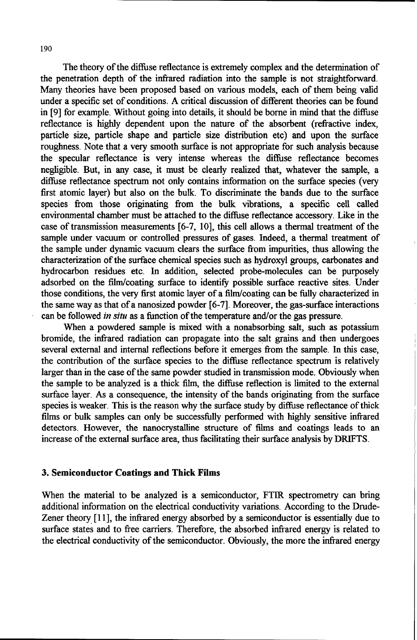The theory of the diffuse reflectance is extremely complex and the determination of the penetration depth of the infrared radiation into the sample is not straightforward. Many theories have been proposed based on various models, each of them being valid under a specific set of conditions. A critical discussion of different theories can be found in [9] for example. Without going into details, it should be borne in mind that the diffuse reflectance is highly dependent upon the nature of the absorbent (refractive index, particle size, particle shape and particle size distribution etc) and upon the surface roughness. Note that a very smooth surface is not appropriate for such analysis because the specular reflectance is very intense whereas the diffuse reflectance becomes negligible. But, in any case, it must be clearly realized that, whatever the sample, a diffuse reflectance spectrum not only contains information on the surface species (very first atomic layer) but also on the bulk. To discriminate the bands due to the surface species from those originating from the bulk vibrations, a specific cell called environmental chamber must be attached to the diffuse reflectance accessory. Like in the case of transmission measurements [6-7, 10], this cell allows a thermal treatment of the sample under vacuum or controlled pressures of gases. Indeed, a thermal treatment of the sample under dynamic vacuum clears the surface from impurities, thus allowing the characterization of the surface chemical species such as hydroxyl groups, carbonates and hydrocarbon residues etc. In addition, selected probe-molecules can be purposely adsorbed on the film/coating surface to identify possible surface reactive sites. Under those conditions, the very first atomic layer of a film/coating can be fully characterized in the same way as that of a nanosized powder [6-7]. Moreover, the gas-surface interactions can be followed *in situ* as a function of the temperature and/or the gas pressure.

When a powdered sample is mixed with a nonabsorbing salt, such as potassium bromide, the infrared radiation can propagate into the salt grains and then undergoes several external and internal reflections before it emerges from the sample. In this case, the contribution of the surface species to the diffuse reflectance spectrum is relatively larger than in the case of the same powder studied in transmission mode. Obviously when the sample to be analyzed is a thick film, the diffuse reflection is limited to the external surface layer. As a consequence, the intensity of the bands originating from the surface species is weaker. This is the reason why the surface study by diffuse reflectance of thick films or bulk samples can only be successfully performed with highly sensitive infrared detectors. However, the nanocrystalline structure of films and coatings leads to an increase of the external surface area, thus facilitating their surface analysis by DRIFTS.

#### 3. Semiconductor Coatings and Thick Films

When the material to be analyzed is a semiconductor, FTIR spectrometry can bring additional information on the electrical conductivity variations. According to the Drude-Zener theory [11], the infrared energy absorbed by a semiconductor is essentially due to surface states and to free carriers. Therefore, the absorbed infrared energy is related to the electrical conductivity of the semiconductor. Obviously, the more the infrared energy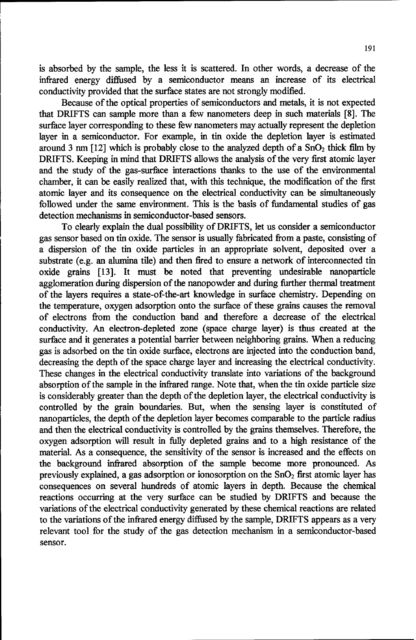is absorbed by the sample, the less it is scattered. In other words, a decrease of the infrared energy diffused by a semiconductor means an increase of its electrical conductivity provided that the surface states are not strongly modified.

Because of the optical properties of semiconductors and metals, it is not expected that DRIFTS can sample more than a few nanometers deep in such materials [8]. The surface layer corresponding to these few nanometers may actually represent the depletion layer in a semiconductor. For example, in tin oxide the depletion layer is estimated around 3 nm [12] which is probably close to the analyzed depth of a  $SnO<sub>2</sub>$  thick film by DRIFTS. Keeping in mind that DRIFTS allows the analysis of the very first atomic layer and the study of the gas-surface interactions thanks to the use of the environmental chamber, it can be easily realized that, with this technique, the modification of the first atomic layer and its consequence on the electrical conductivity can be simultaneously followed under the same environment. This is the basis of fundamental studies of gas detection mechanisms in semiconductor-based sensors.

To clearly explain the dual possibility of DRIFTS, let us consider a semiconductor gas sensor based on tin oxide. The sensor is usually fabricated from a paste, consisting of a dispersion of the tin oxide particles in an appropriate solvent, deposited over a substrate (e.g. an alumina tile) and then fired to ensure a network of interconnected tin oxide grains [13]. It must be noted that preventing undesirable nanoparticle agglomeration during dispersion of the nanopowder and during further thermal treatment of the layers requires a state-of-the-art knowledge in surface chemistry. Depending on the temperature, oxygen adsorption onto the surface of these grains causes the removal of electrons from the conduction band and therefore a decrease of the electrical conductivity. An electron-depleted zone (space charge layer) is thus created at the surface and it generates a potential barrier between neighboring grains. When a reducing gas is adsorbed on the tin oxide surface, electrons are injected into the conduction band, decreasing the depth of the space charge layer and increasing the electrical conductivity. These changes in the electrical conductivity translate into variations of the background absorption of the sample in the infrared range. Note that, when the tin oxide particle size is considerably greater than the depth of the depletion layer, the electrical conductivity is controlled by the grain boundaries. But, when the sensing layer is constituted of nanoparticles, the depth of the depletion layer becomes comparable to the particle radius and then the electrical conductivity is controlled by the grains themselves. Therefore, the oxygen adsorption will result in fully depleted grains and to a high resistance of the material. As a consequence, the sensitivity of the sensor is increased and the effects on the background infrared absorption of the sample become more pronounced. As previously explained, a gas adsorption or ionosorption on the  $SnO<sub>2</sub>$  first atomic layer has consequences on several hundreds of atomic layers in depth. Because the chemical reactions occurring at the very surface can be studied by DRIFTS and because the variations of the electrical conductivity generated by these chemical reactions are related to the variations of the infrared energy diffused by the sample, DRIFTS appears as a very relevant tool for the study of the gas detection mechanism in a semiconductor-based sensor.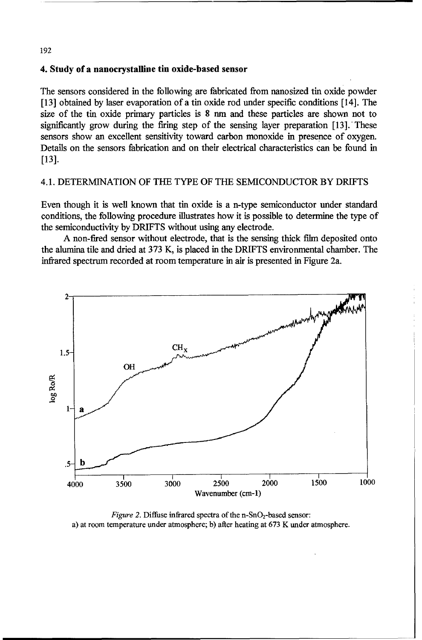#### 4. Study of a nanocrystalline tin oxide-based sensor

The sensors considered in the following are fabricated from nanosized tin oxide powder [13] obtained by laser evaporation of a tin oxide rod under specific conditions [14]. The size of the tin oxide primary particles is 8 nm and these particles are shown not to significantly grow during the firing step of the sensing layer preparation [13]. These sensors show an excellent sensitivity toward carbon monoxide in presence of oxygen. Details on the sensors fabrication and on their electrical characteristics can be found in [13].

#### 4.1. DETERMINATION OF THE TYPE OF THE SEMICONDUCTOR BY DRIFTS

Even though it is well known that tin oxide is a n-type semiconductor under standard conditions, the following procedure illustrates how it is possible to determine the type of the semiconductivity by DRIFTS without using any electrode.

A non-fired sensor without electrode, that is the sensing thick film deposited onto the alumina tile and dried at 373 K, is placed in the DRIFTS environmental chamber. The infrared spectrum recorded at room temperature in air is presented in Figure 2a.



*Figure 2. Diffuse infrared spectra of the n-SnO<sub>2</sub>-based sensor:* a) at room temperature under atmosphere; b) after heating at 673 K under atmosphere.

#### 192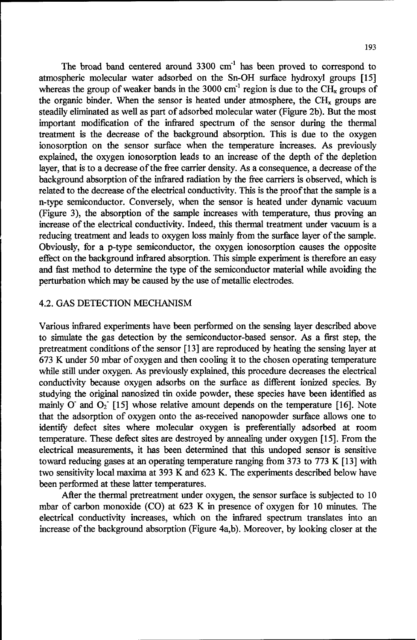The broad band centered around  $3300 \text{ cm}^{-1}$  has been proved to correspond to atmospheric molecular water adsorbed on the Sn-OH surface hydroxyl groups [15] whereas the group of weaker bands in the  $3000 \text{ cm}^{-1}$  region is due to the CH<sub>x</sub> groups of the organic binder. When the sensor is heated under atmosphere, the **CH.** groups are steadily eliminated as well as part of adsorbed molecular water (Figure 2b). But the most important modification of the infrared spectrum of the sensor during the thermal treatment is the decrease of the background absorption. This is due to the oxygen ionosorption on the sensor surface when the temperature increases. As previously explained, the oxygen ionosorption leads to an increase of the depth of the depletion layer, that is to a decrease of the free carrier density. As a consequence, a decrease of the background absorption of the infrared radiation by the free carriers is observed, which is related to the decrease of the electrical conductivity. This is the proof that the sample is a n-type semiconductor. Conversely, when the sensor is heated under dynamic vacuum (Figure 3), the absorption of the sample increases with temperature, thus proving an increase of the electrical conductivity. Indeed, this thermal treatment under vacuum is a reducing treatment and leads to oxygen loss mainly from the surface layer of the sample. Obviously, for a p-type semiconductor, the oxygen ionosorption causes the opposite effect on the background infrared absorption. This simple experiment is therefore an easy and fast method to determine the type of the semiconductor material while avoiding the perturbation which may be caused by the use of metallic electrodes.

#### 4.2. GAS DETECTION MECHANISM

Various infrared experiments have been performed on the sensing layer described above to simulate the gas detection by the semiconductor-based sensor. As a first step, the pretreatment conditions of the sensor [13] are reproduced by heating the sensing layer at 673 K under 50 mbar of oxygen and then cooling it to the chosen operating temperature while still under oxygen. As previously explained, this procedure decreases the electrical conductivity because oxygen adsorbs on the surface as different ionized species. By studying the original nanosized tin oxide powder, these species have been identified as mainly O and O<sub>2</sub> [15] whose relative amount depends on the temperature [16]. Note that the adsorption of oxygen onto the as-received nanopowder surface allows one to identify defect sites where molecular oxygen is preferentially adsorbed at room temperature. These defect sites are destroyed by annealing under oxygen [15]. From the electrical measurements, it has been determined that this undoped sensor is sensitive toward reducing gases at an operating temperature ranging from 373 to 773 K [13] with two sensitivity local maxima at 393 K and 623 K. The experiments described below have been performed at these latter temperatures.

After the thermal pretreatment under oxygen, the sensor surface is subjected to 10 mbar of carbon monoxide (CO) at 623 K in presence of oxygen for 10 minutes. The electrical conductivity increases, which on the infrared spectrum translates into an increase of the background absorption (Figure 4a,b). Moreover, by looking closer at the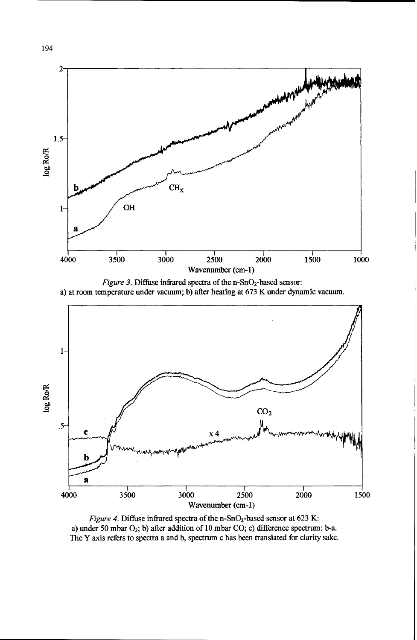





*Figure 4.* Diffuse infrared spectra of the n-SnO<sub>2</sub>-based sensor at 623 K: a) under 50 mbar  $O_2$ ; b) after addition of 10 mbar CO; c) difference spectrum: b-a. The Y axis refers to spectra a and b, spectrum c has been translated for clarity sake.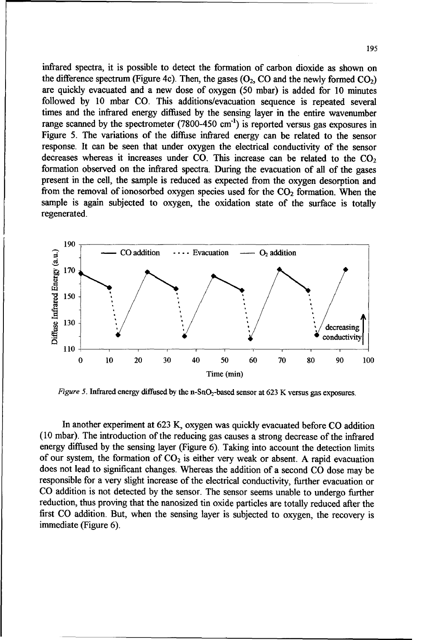infrared spectra, it is possible to detect the formation of carbon dioxide as shown on the difference spectrum (Figure 4c). Then, the gases  $(O_2, CO)$  and the newly formed  $CO<sub>2</sub>$ ) are quickly evacuated and a new dose of oxygen (50 mbar) is added for 10 minutes followed by 10 mbar CO. This additions/evacuation sequence is repeated several times and the infrared energy diffused by the sensing layer in the entire wavenumber range scanned by the spectrometer (7800-450 cm<sup>-1</sup>) is reported versus gas exposures in Figure 5. The variations of the diffuse infrared energy can be related to the sensor response. It can be seen that under oxygen the electrical conductivity of the sensor decreases whereas it increases under CO. This increase can be related to the  $CO<sub>2</sub>$ formation observed on the infrared spectra. During the evacuation of all of the gases present in the cell, the sample is reduced as expected from the oxygen desorption and from the removal of ionosorbed oxygen species used for the  $CO<sub>2</sub>$  formation. When the sample is again subjected to oxygen, the oxidation state of the surface is totally regenerated.



*Figure 5.* Infrared energy diffused by the n-SnO<sub>2</sub>-based sensor at 623 K versus gas exposures.

In another experiment at 623 K, oxygen was quickly evacuated before CO addition (10 mbar). The introduction of the reducing gas causes a strong decrease of the infrared energy diffused by the sensing layer (Figure 6). Taking into account the detection limits of our system, the formation of  $CO<sub>2</sub>$  is either very weak or absent. A rapid evacuation does not lead to significant changes. Whereas the addition of a second CO dose may be responsible for a very slight increase of the electrical conductivity, further evacuation or CO addition is not detected by the sensor. The sensor seems unable to undergo further reduction, thus proving that the nanosized tin oxide particles are totally reduced after the first CO addition. But, when the sensing layer is subjected to oxygen, the recovery is immediate (Figure 6).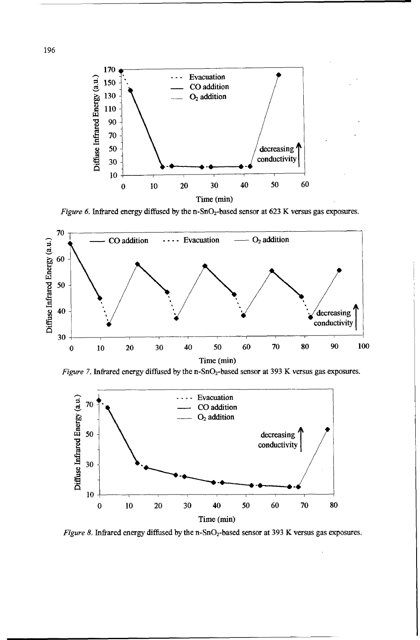

*Figure 6.* Infrared energy diffused by the n-SnO<sub>2</sub>-based sensor at 623 K versus gas exposures.







*Figure 8.* Infrared energy diffused by the n-SnO<sub>2</sub>-based sensor at 393 K versus gas exposures.

196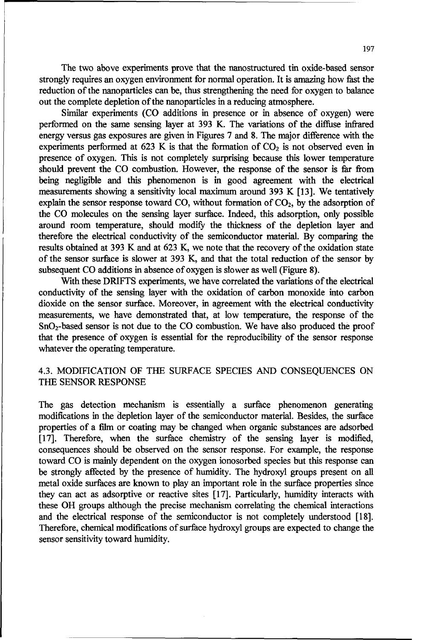197

The two above experiments prove that the nanostructured tin oxide-based sensor strongly requires an oxygen environment for normal operation. It is amazing how fast the reduction of the nanoparticles can be, thus strengthening the need for oxygen to balance out the complete depletion of the nanoparticles in a reducing atmosphere.

Similar experiments (CO additions in presence or in absence of oxygen) were performed on the same sensing layer at 393 K. The variations of the diffuse infrared energy versus gas exposures are given in Figures 7 and 8. The major difference with the experiments performed at 623 K is that the formation of  $CO<sub>2</sub>$  is not observed even in presence of oxygen. This is not completely surprising because this lower temperature should prevent the CO combustion. However, the response of the sensor is far from being negligible and this phenomenon is in good agreement with the electrical measurements showing a sensitivity local maximum around 393 K [13]. We tentatively explain the sensor response toward CO, without formation of  $CO<sub>2</sub>$ , by the adsorption of the CO molecules on the sensing layer surface. Indeed, this adsorption, only possible around room temperature, should modify the thickness of the depletion layer and therefore the electrical conductivity of the semiconductor material. By comparing the results obtained at 393 K and at 623 K, we note that the recovery of the oxidation state of the sensor surface is slower at 393 K, and that the total reduction of the sensor by subsequent CO additions in absence of oxygen is slower as well (Figure 8).

With these DRIFTS experiments, we have correlated the variations of the electrical conductivity of the sensing layer with the oxidation of carbon monoxide into carbon dioxide on the sensor surface. Moreover, in agreement with the electrical conductivity measurements, we have demonstrated that, at low temperature, the response of the  $SnO<sub>2</sub>$ -based sensor is not due to the CO combustion. We have also produced the proof that the presence of oxygen is essential for the reproducibility of the sensor response whatever the operating temperature.

#### 4.3. MODIFICATION OF THE SURFACE SPECIES **AND** CONSEQUENCES ON THE SENSOR RESPONSE

The gas detection mechanism is essentially a surface phenomenon generating modifications in the depletion layer of the semiconductor material. Besides, the surface properties of a film or coating may be changed when organic substances are adsorbed [17]. Therefore, when the surface chemistry of the sensing layer is modified, consequences should be observed on the sensor response. For example, the response toward CO is mainly dependent on the oxygen ionosorbed species but this response can be strongly affected by the presence of humidity. The hydroxyl groups present on all metal oxide surfaces are known to play an important role in the surface properties since they can act as adsorptive or reactive sites [17]. Particularly, humidity interacts with these OH groups although the precise mechanism correlating the chemical interactions and the electrical response of the semiconductor is not completely understood [18]. Therefore, chemical modifications of surface hydroxyl groups are expected to change the sensor sensitivity toward humidity.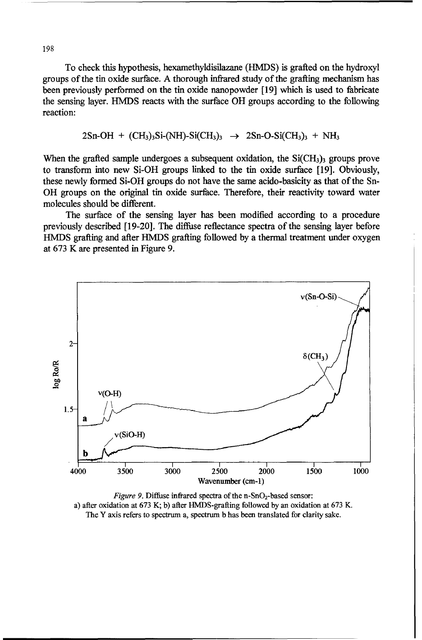To check this hypothesis, hexamethyldisilazane (HMDS) is grafted on the hydroxyl groups of the tin oxide surface. A thorough infrared study of the grafting mechanism has been previously performed on the tin oxide nanopowder [19] which is used to fabricate the sensing layer. HMDS reacts with the surface OH groups according to the following reaction:

$$
2Sn-OH + (CH3)3Si-(NH)-Si(CH3)3 \rightarrow 2Sn-O-Si(CH3)3 + NH3
$$

When the grafted sample undergoes a subsequent oxidation, the  $SiCH<sub>3</sub>$  groups prove to transform into new Si-OH groups linked to the tin oxide surface [19]. Obviously, these newly formed Si-OH groups do not have the same acido-basicity as that of the Sn-OH groups on the original tin oxide surface. Therefore, their reactivity toward water molecules should be different.

The surface of the sensing layer has been modified according to a procedure previously described [19-20]. The diffuse reflectance spectra of the sensing layer before HMDS grafting and after HMDS grafting followed by a thermal treatment under oxygen at 673 K are presented in Figure 9.



*Figure 9.* Diffuse infrared spectra of the n-SnO<sub>2</sub>-based sensor: a) after oxidation at 673 K; b) after HMDS-grafting followed by an oxidation at 673 K. The Y axis refers to spectrum a, spectrum b has been translated for clarity sake.

**198**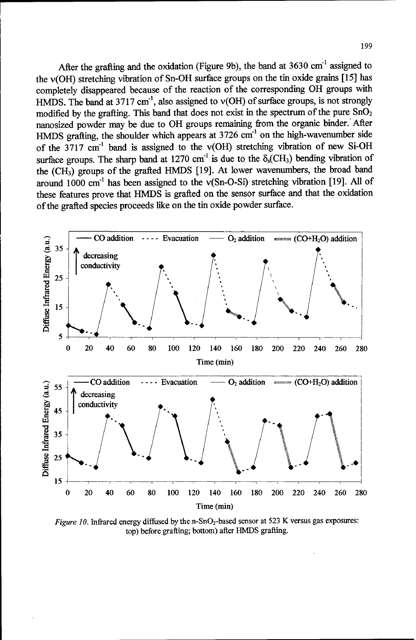After the grafting and the oxidation (Figure 9b), the band at  $3630 \text{ cm}^{-1}$  assigned to the v(OH) stretching vibration of Sn-OH surface groups on the tin oxide grains [15] has completely disappeared because of the reaction of the corresponding OH groups with HMDS. The band at 3717 cm<sup>-1</sup>, also assigned to  $v(OH)$  of surface groups, is not strongly modified by the grafting. This band that does not exist in the spectrum of the pure  $SnO<sub>2</sub>$ nanosized powder may be due to OH groups remaining from the organic binder. After HMDS grafting, the shoulder which appears at 3726 cm<sup>-1</sup> on the high-wavenumber side of the  $3717 \text{ cm}^{-1}$  band is assigned to the v(OH) stretching vibration of new Si-OH surface groups. The sharp band at 1270 cm<sup>-1</sup> is due to the  $\delta_s$ (CH<sub>3</sub>) bending vibration of the  $(CH<sub>3</sub>)$  groups of the grafted HMDS [19]. At lower wavenumbers, the broad band around 1000 cm<sup>-1</sup> has been assigned to the  $v(Sn-O-Si)$  stretching vibration [19]. All of these features prove that HMDS is grafted on the sensor surface and that the oxidation of the grafted species proceeds like on the tin oxide powder surface.



*Figure 10.* Infrared energy diffused by the n-SnO<sub>2</sub>-based sensor at 523 K versus gas exposures: top) before grafting; bottom) after HMDS grafting.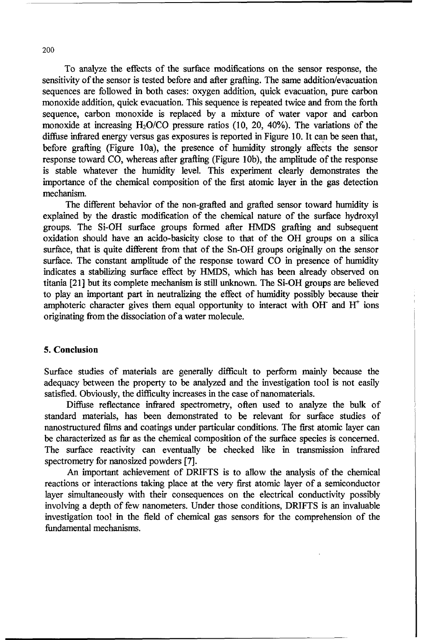To analyze the effects of the surface modifications on the sensor response, the sensitivity of the sensor is tested before and after grafting. The same addition/evacuation sequences are followed in both cases: oxygen addition, quick evacuation, pure carbon monoxide addition, quick evacuation. This sequence is repeated twice and from the forth sequence, carbon monoxide is replaced by a mixture of water vapor and carbon monoxide at increasing  $H<sub>2</sub>O/CO$  pressure ratios (10, 20, 40%). The variations of the diffuse infrared energy versus gas exposures is reported in Figure 10. It can be seen that, before grafting (Figure 10a), the presence of humidity strongly affects the sensor response toward CO, whereas after grafting (Figure **10b),** the amplitude of the response is stable whatever the humidity level. This experiment clearly demonstrates the importance of the chemical composition of the first atomic layer in the gas detection mechanism.

The different behavior of the non-grafted and grafted sensor toward humidity is explained by the drastic modification of the chemical nature of the surface hydroxyl groups. The Si-OH surface groups formed after **HMDS** grafting and subsequent oxidation should have an acido-basicity close to that of the OH groups on a silica surface, that is quite different from that of the Sn-OH groups originally on the sensor surface. The constant amplitude of the response toward CO in presence of humidity indicates a stabilizing surface effect by HMDS, which has been already observed on titania [21] but its complete mechanism is still unknown. The Si-OH groups are believed to play an important part in neutralizing the effect of humidity possibly because their amphoteric character gives them equal opportunity to interact with OHT and  $H^+$  ions originating from the dissociation of a water molecule.

#### 5. Conclusion

Surface studies of materials are generally difficult to perform mainly because the adequacy between the property to be analyzed and the investigation tool is not easily satisfied. Obviously, the difficulty increases in the case of nanomaterials.

Diffuse reflectance infrared spectrometry, often used to analyze the bulk of standard materials, has been demonstrated to be relevant for surface studies of nanostructured films and coatings under particular conditions. The first atomic layer can be characterized as far as the chemical composition of the surface species is concerned. The surface reactivity can eventually be checked like in transmission infrared spectrometry for nanosized powders [7].

An important achievement of DRIFTS is to allow the analysis of the chemical reactions or interactions taking place at the very first atomic layer of a semiconductor layer simultaneously with their consequences on the electrical conductivity possibly involving a depth of few nanometers. Under those conditions, DRIFTS is an invaluable investigation tool in the field of chemical gas sensors for the comprehension of the fundamental mechanisms.